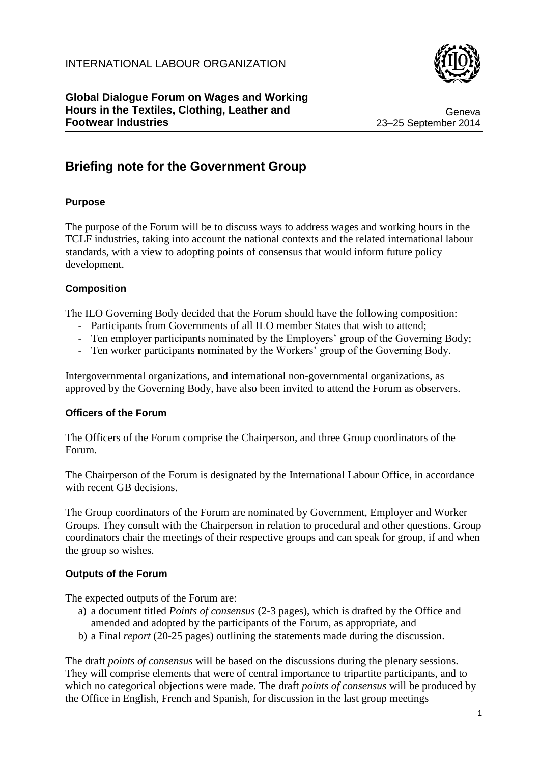

Geneva 23–25 September 2014

# **Briefing note for the Government Group**

## **Purpose**

The purpose of the Forum will be to discuss ways to address wages and working hours in the TCLF industries, taking into account the national contexts and the related international labour standards, with a view to adopting points of consensus that would inform future policy development.

### **Composition**

The ILO Governing Body decided that the Forum should have the following composition:

- Participants from Governments of all ILO member States that wish to attend;
- Ten employer participants nominated by the Employers' group of the Governing Body;
- Ten worker participants nominated by the Workers' group of the Governing Body.

Intergovernmental organizations, and international non-governmental organizations, as approved by the Governing Body, have also been invited to attend the Forum as observers.

### **Officers of the Forum**

The Officers of the Forum comprise the Chairperson, and three Group coordinators of the Forum.

The Chairperson of the Forum is designated by the International Labour Office, in accordance with recent GB decisions.

The Group coordinators of the Forum are nominated by Government, Employer and Worker Groups. They consult with the Chairperson in relation to procedural and other questions. Group coordinators chair the meetings of their respective groups and can speak for group, if and when the group so wishes.

### **Outputs of the Forum**

The expected outputs of the Forum are:

- a) a document titled *Points of consensus* (2-3 pages), which is drafted by the Office and amended and adopted by the participants of the Forum, as appropriate, and
- b) a Final *report* (20-25 pages) outlining the statements made during the discussion.

The draft *points of consensus* will be based on the discussions during the plenary sessions. They will comprise elements that were of central importance to tripartite participants, and to which no categorical objections were made. The draft *points of consensus* will be produced by the Office in English, French and Spanish, for discussion in the last group meetings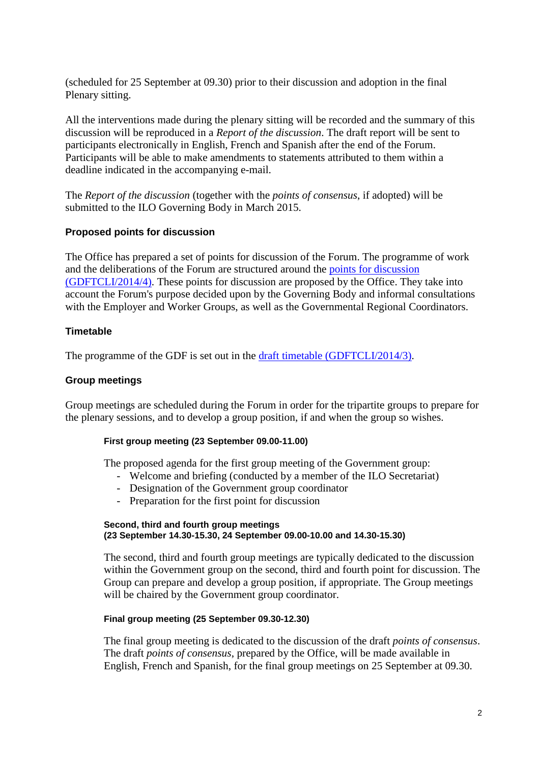(scheduled for 25 September at 09.30) prior to their discussion and adoption in the final Plenary sitting.

All the interventions made during the plenary sitting will be recorded and the summary of this discussion will be reproduced in a *Report of the discussion*. The draft report will be sent to participants electronically in English, French and Spanish after the end of the Forum. Participants will be able to make amendments to statements attributed to them within a deadline indicated in the accompanying e-mail.

The *Report of the discussion* (together with the *points of consensus*, if adopted) will be submitted to the ILO Governing Body in March 2015.

### **Proposed points for discussion**

The Office has prepared a set of points for discussion of the Forum. The programme of work and the deliberations of the Forum are structured around the [points for discussion](http://www.ilo.org/sector/activities/sectoral-meetings/WCMS_303843/lang--en/index.htm) [\(GDFTCLI/2014/4\).](http://www.ilo.org/sector/activities/sectoral-meetings/WCMS_303843/lang--en/index.htm) These points for discussion are proposed by the Office. They take into account the Forum's purpose decided upon by the Governing Body and informal consultations with the Employer and Worker Groups, as well as the Governmental Regional Coordinators.

### **Timetable**

The programme of the GDF is set out in the [draft timetable \(GDFTCLI/2014/3\).](http://www.ilo.org/sector/activities/sectoral-meetings/WCMS_302565/lang--en/index.htm)

### **Group meetings**

Group meetings are scheduled during the Forum in order for the tripartite groups to prepare for the plenary sessions, and to develop a group position, if and when the group so wishes.

### **First group meeting (23 September 09.00-11.00)**

The proposed agenda for the first group meeting of the Government group:

- Welcome and briefing (conducted by a member of the ILO Secretariat)
- Designation of the Government group coordinator
- Preparation for the first point for discussion

#### **Second, third and fourth group meetings (23 September 14.30-15.30, 24 September 09.00-10.00 and 14.30-15.30)**

The second, third and fourth group meetings are typically dedicated to the discussion within the Government group on the second, third and fourth point for discussion. The Group can prepare and develop a group position, if appropriate. The Group meetings will be chaired by the Government group coordinator.

### **Final group meeting (25 September 09.30-12.30)**

The final group meeting is dedicated to the discussion of the draft *points of consensus*. The draft *points of consensus*, prepared by the Office, will be made available in English, French and Spanish, for the final group meetings on 25 September at 09.30.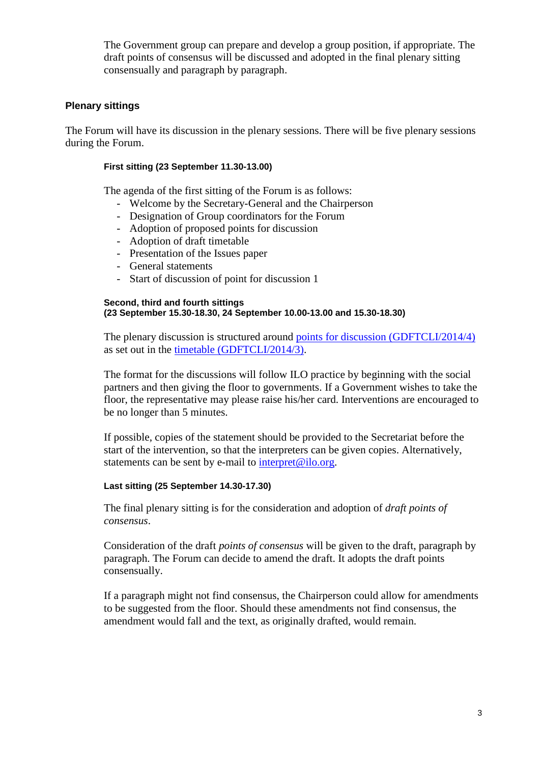The Government group can prepare and develop a group position, if appropriate. The draft points of consensus will be discussed and adopted in the final plenary sitting consensually and paragraph by paragraph.

### **Plenary sittings**

The Forum will have its discussion in the plenary sessions. There will be five plenary sessions during the Forum.

### **First sitting (23 September 11.30-13.00)**

The agenda of the first sitting of the Forum is as follows:

- Welcome by the Secretary-General and the Chairperson
- Designation of Group coordinators for the Forum
- Adoption of proposed points for discussion
- Adoption of draft timetable
- Presentation of the Issues paper
- General statements
- Start of discussion of point for discussion 1

#### **Second, third and fourth sittings (23 September 15.30-18.30, 24 September 10.00-13.00 and 15.30-18.30)**

The plenary discussion is structured around [points for discussion \(GDFTCLI/2014/4\)](http://www.ilo.org/sector/activities/sectoral-meetings/WCMS_303843/lang--en/index.htm) as set out in the timetable [\(GDFTCLI/2014/3\).](http://www.ilo.org/sector/activities/sectoral-meetings/WCMS_302565/lang--en/index.htm)

The format for the discussions will follow ILO practice by beginning with the social partners and then giving the floor to governments. If a Government wishes to take the floor, the representative may please raise his/her card. Interventions are encouraged to be no longer than 5 minutes.

If possible, copies of the statement should be provided to the Secretariat before the start of the intervention, so that the interpreters can be given copies. Alternatively, statements can be sent by e-mail to [interpret@ilo.org.](mailto:interpret@ilo.org)

### **Last sitting (25 September 14.30-17.30)**

The final plenary sitting is for the consideration and adoption of *draft points of consensus*.

Consideration of the draft *points of consensus* will be given to the draft, paragraph by paragraph. The Forum can decide to amend the draft. It adopts the draft points consensually.

If a paragraph might not find consensus, the Chairperson could allow for amendments to be suggested from the floor. Should these amendments not find consensus, the amendment would fall and the text, as originally drafted, would remain.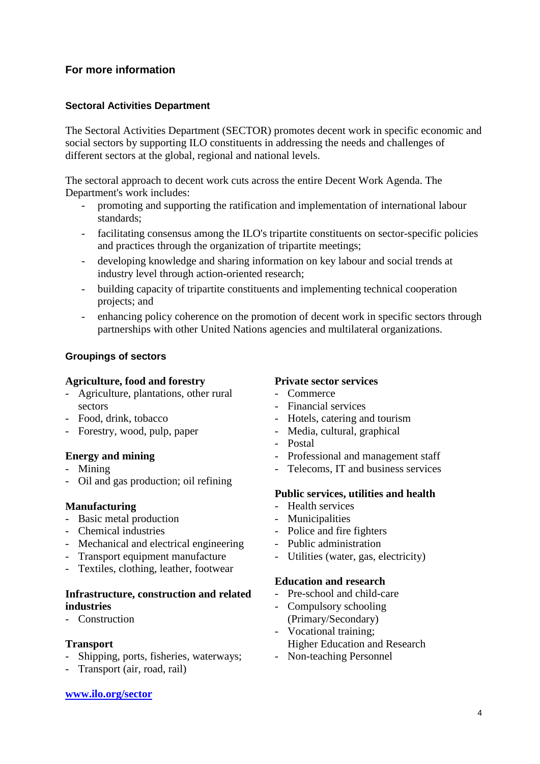## **For more information**

### **Sectoral Activities Department**

The Sectoral Activities Department (SECTOR) promotes decent work in specific economic and social sectors by supporting ILO constituents in addressing the needs and challenges of different sectors at the global, regional and national levels.

The sectoral approach to decent work cuts across the entire Decent Work Agenda. The Department's work includes:

- promoting and supporting the ratification and implementation of international labour standards;
- facilitating consensus among the ILO's tripartite constituents on sector-specific policies and practices through the organization of tripartite meetings;
- developing knowledge and sharing information on key labour and social trends at industry level through action-oriented research;
- building capacity of tripartite constituents and implementing technical cooperation projects; and
- enhancing policy coherence on the promotion of decent work in specific sectors through partnerships with other United Nations agencies and multilateral organizations.

### **Groupings of sectors**

### **Agriculture, food and forestry**

- Agriculture, plantations, other rural sectors
- Food, drink, tobacco
- Forestry, wood, pulp, paper

### **Energy and mining**

- Mining
- Oil and gas production; oil refining

### **Manufacturing**

- Basic metal production
- Chemical industries
- Mechanical and electrical engineering
- Transport equipment manufacture
- Textiles, clothing, leather, footwear

### **Infrastructure, construction and related industries**

- Construction

### **Transport**

- Shipping, ports, fisheries, waterways;
- Transport (air, road, rail)

#### **[www.ilo.org/sector](http://www.ilo.org/sector)**

### **Private sector services**

- Commerce
- Financial services
- Hotels, catering and tourism
- Media, cultural, graphical
- Postal
- Professional and management staff
- Telecoms, IT and business services

### **Public services, utilities and health**

- Health services
- Municipalities
- Police and fire fighters
- Public administration
- Utilities (water, gas, electricity)

### **Education and research**

- Pre-school and child-care
- Compulsory schooling (Primary/Secondary)
- Vocational training: Higher Education and Research
- Non-teaching Personnel